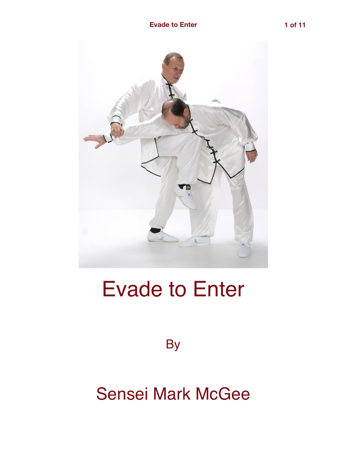

# Evade to Enter

**By** 

## Sensei Mark McGee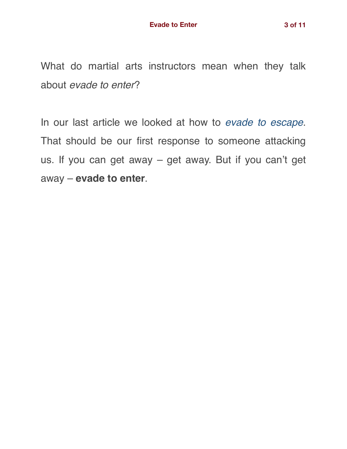What do martial arts instructors mean when they talk about *evade to enter*?

In our last article we looked at how to *[evade to escape](https://gracemartialarts.com/2018/06/16/evade-to-escape/)*. That should be our first response to someone attacking us. If you can get away – get away. But if you can't get away – **evade to enter**.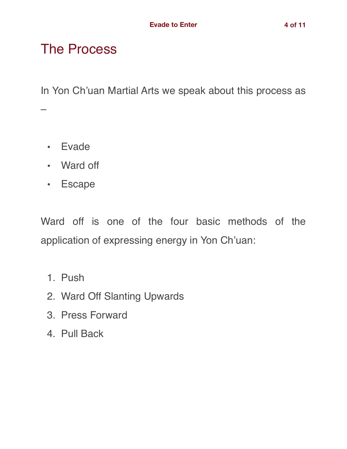#### The Process

In Yon Ch'uan Martial Arts we speak about this process as

• Evade

–

- Ward off
- Escape

Ward off is one of the four basic methods of the application of expressing energy in Yon Ch'uan:

- 1. Push
- 2. Ward Off Slanting Upwards
- 3. Press Forward
- 4. Pull Back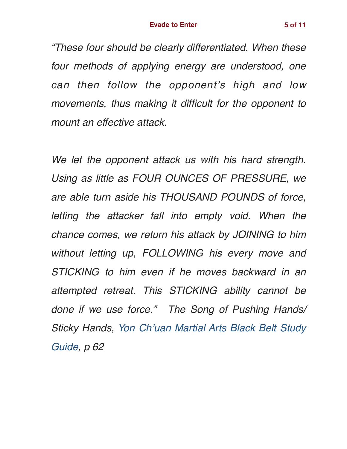*"These four should be clearly differentiated. When these four methods of applying energy are understood, one can then follow the opponent's high and low movements, thus making it difficult for the opponent to mount an effective attack.*

*We let the opponent attack us with his hard strength. Using as little as FOUR OUNCES OF PRESSURE, we are able turn aside his THOUSAND POUNDS of force, letting the attacker fall into empty void. When the chance comes, we return his attack by JOINING to him without letting up, FOLLOWING his every move and STICKING to him even if he moves backward in an attempted retreat. This STICKING ability cannot be done if we use force." The Song of Pushing Hands/ Sticky Hands, [Yon Ch'uan Martial Arts Black Belt Study](http://www.gracemartialarts.org/GMA-docs/Black_Belt_Study_Guide_with_Scriptures.pdf) [Guide](http://www.gracemartialarts.org/GMA-docs/Black_Belt_Study_Guide_with_Scriptures.pdf), p 62*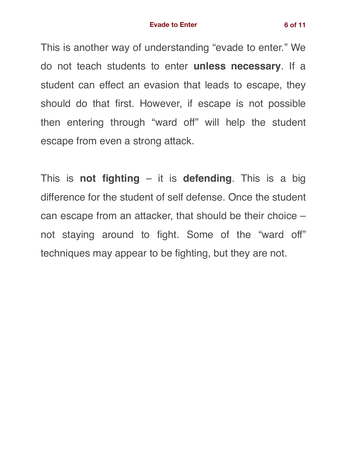This is another way of understanding "evade to enter." We do not teach students to enter **unless necessary**. If a student can effect an evasion that leads to escape, they should do that first. However, if escape is not possible then entering through "ward off" will help the student escape from even a strong attack.

This is **not fighting** – it is **defending**. This is a big difference for the student of self defense. Once the student can escape from an attacker, that should be their choice – not staying around to fight. Some of the "ward off" techniques may appear to be fighting, but they are not.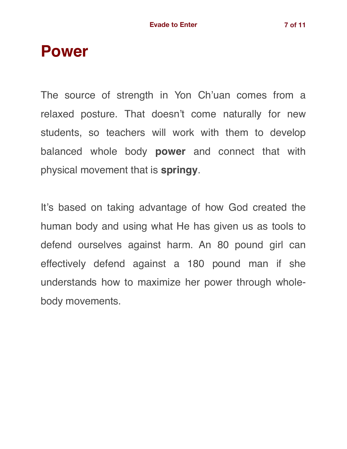### **Power**

The source of strength in Yon Ch'uan comes from a relaxed posture. That doesn't come naturally for new students, so teachers will work with them to develop balanced whole body **power** and connect that with physical movement that is **springy**.

It's based on taking advantage of how God created the human body and using what He has given us as tools to defend ourselves against harm. An 80 pound girl can effectively defend against a 180 pound man if she understands how to maximize her power through wholebody movements.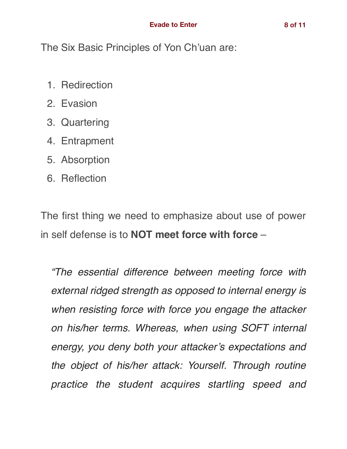The Six Basic Principles of Yon Ch'uan are:

- 1. Redirection
- 2. Evasion
- 3. Quartering
- 4. Entrapment
- 5. Absorption
- 6. Reflection

The first thing we need to emphasize about use of power in self defense is to **NOT meet force with force** –

*"The essential difference between meeting force with external ridged strength as opposed to internal energy is when resisting force with force you engage the attacker on his/her terms. Whereas, when using SOFT internal energy, you deny both your attacker's expectations and the object of his/her attack: Yourself. Through routine practice the student acquires startling speed and*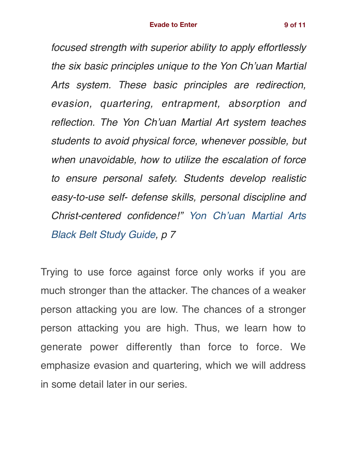*focused strength with superior ability to apply effortlessly the six basic principles unique to the Yon Ch'uan Martial Arts system. These basic principles are redirection, evasion, quartering, entrapment, absorption and reflection. The Yon Ch'uan Martial Art system teaches students to avoid physical force, whenever possible, but when unavoidable, how to utilize the escalation of force to ensure personal safety. Students develop realistic easy-to-use self- defense skills, personal discipline and Christ-centered confidence!" [Yon Ch'uan Martial Arts](http://www.gracemartialarts.org/GMA-docs/Black_Belt_Study_Guide_with_Scriptures.pdf) [Black Belt Study Guide](http://www.gracemartialarts.org/GMA-docs/Black_Belt_Study_Guide_with_Scriptures.pdf), p 7*

Trying to use force against force only works if you are much stronger than the attacker. The chances of a weaker person attacking you are low. The chances of a stronger person attacking you are high. Thus, we learn how to generate power differently than force to force. We emphasize evasion and quartering, which we will address in some detail later in our series.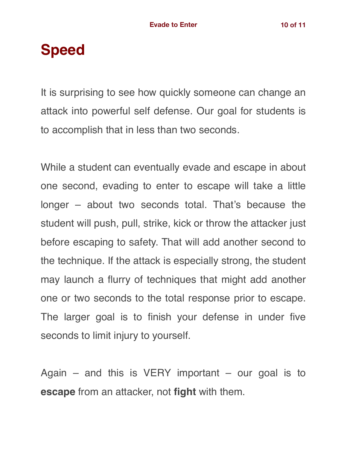## **Speed**

It is surprising to see how quickly someone can change an attack into powerful self defense. Our goal for students is to accomplish that in less than two seconds.

While a student can eventually evade and escape in about one second, evading to enter to escape will take a little longer – about two seconds total. That's because the student will push, pull, strike, kick or throw the attacker just before escaping to safety. That will add another second to the technique. If the attack is especially strong, the student may launch a flurry of techniques that might add another one or two seconds to the total response prior to escape. The larger goal is to finish your defense in under five seconds to limit injury to yourself.

Again – and this is VERY important – our goal is to **escape** from an attacker, not **fight** with them.